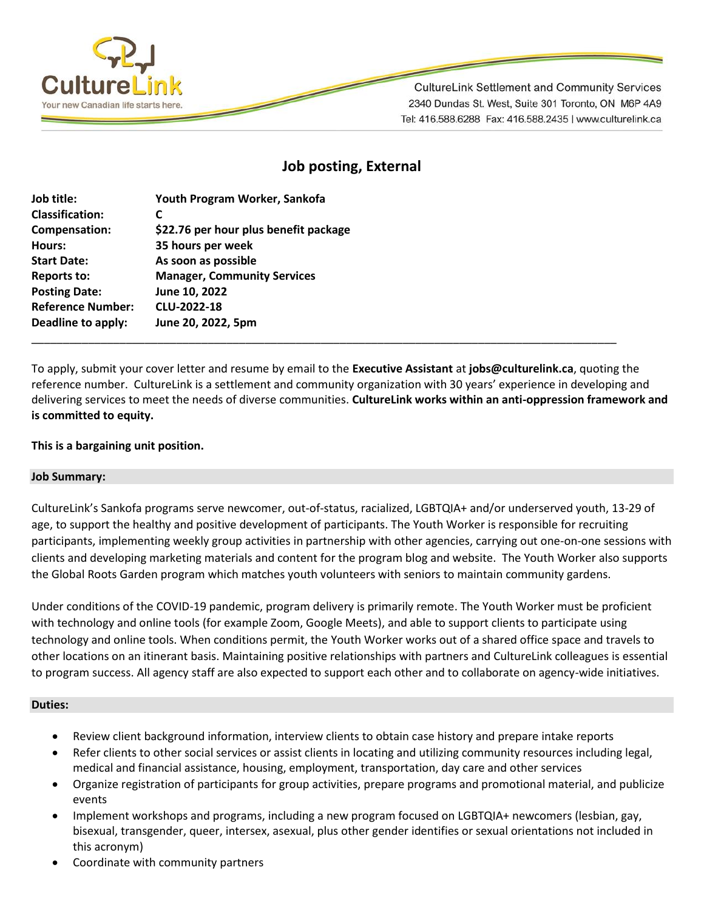

**CultureLink Settlement and Community Services** 2340 Dundas St. West, Suite 301 Toronto, ON M6P 4A9 Tel: 416.588.6288 Fax: 416.588.2435 | www.culturelink.ca

# **Job posting, External**

| Job title:               | Youth Program Worker, Sankofa         |
|--------------------------|---------------------------------------|
| <b>Classification:</b>   | C                                     |
| Compensation:            | \$22.76 per hour plus benefit package |
| Hours:                   | 35 hours per week                     |
| <b>Start Date:</b>       | As soon as possible                   |
| <b>Reports to:</b>       | <b>Manager, Community Services</b>    |
| <b>Posting Date:</b>     | June 10, 2022                         |
| <b>Reference Number:</b> | CLU-2022-18                           |
| Deadline to apply:       | June 20, 2022, 5pm                    |
|                          |                                       |

To apply, submit your cover letter and resume by email to the **Executive Assistant** at **jobs@culturelink.ca**, quoting the reference number. CultureLink is a settlement and community organization with 30 years' experience in developing and delivering services to meet the needs of diverse communities. **CultureLink works within an anti-oppression framework and is committed to equity.**

## **This is a bargaining unit position.**

### **Job Summary:**

CultureLink's Sankofa programs serve newcomer, out-of-status, racialized, LGBTQIA+ and/or underserved youth, 13-29 of age, to support the healthy and positive development of participants. The Youth Worker is responsible for recruiting participants, implementing weekly group activities in partnership with other agencies, carrying out one-on-one sessions with clients and developing marketing materials and content for the program blog and website. The Youth Worker also supports the Global Roots Garden program which matches youth volunteers with seniors to maintain community gardens.

Under conditions of the COVID-19 pandemic, program delivery is primarily remote. The Youth Worker must be proficient with technology and online tools (for example Zoom, Google Meets), and able to support clients to participate using technology and online tools. When conditions permit, the Youth Worker works out of a shared office space and travels to other locations on an itinerant basis. Maintaining positive relationships with partners and CultureLink colleagues is essential to program success. All agency staff are also expected to support each other and to collaborate on agency-wide initiatives.

### **Duties:**

- Review client background information, interview clients to obtain case history and prepare intake reports
- Refer clients to other social services or assist clients in locating and utilizing community resources including legal, medical and financial assistance, housing, employment, transportation, day care and other services
- Organize registration of participants for group activities, prepare programs and promotional material, and publicize events
- Implement workshops and programs, including a new program focused on LGBTQIA+ newcomers (lesbian, gay, bisexual, transgender, queer, intersex, asexual, plus other gender identifies or sexual orientations not included in this acronym)
- Coordinate with community partners